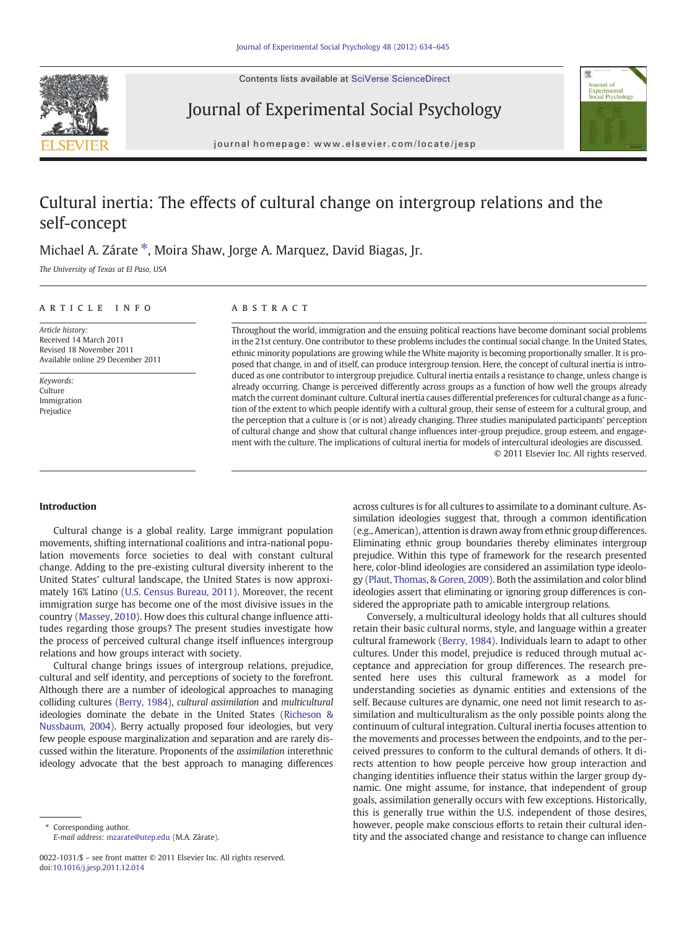Contents lists available at SciVerse ScienceDirect



Journal of Experimental Social Psychology



journal homepage: www.elsevier.com/locate/jesp

## Cultural inertia: The effects of cultural change on intergroup relations and the self-concept

### Michael A. Zárate \*, Moira Shaw, Jorge A. Marquez, David Biagas, Jr.

The University of Texas at El Paso, USA

### ARTICLE INFO ABSTRACT

Article history: Received 14 March 2011 Revised 18 November 2011 Available online 29 December 2011

Keywords: Culture Immigration Prejudice

Throughout the world, immigration and the ensuing political reactions have become dominant social problems in the 21st century. One contributor to these problems includes the continual social change. In the United States, ethnic minority populations are growing while the White majority is becoming proportionally smaller. It is proposed that change, in and of itself, can produce intergroup tension. Here, the concept of cultural inertia is introduced as one contributor to intergroup prejudice. Cultural inertia entails a resistance to change, unless change is already occurring. Change is perceived differently across groups as a function of how well the groups already match the current dominant culture. Cultural inertia causes differential preferences for cultural change as a function of the extent to which people identify with a cultural group, their sense of esteem for a cultural group, and the perception that a culture is (or is not) already changing. Three studies manipulated participants' perception of cultural change and show that cultural change influences inter-group prejudice, group esteem, and engagement with the culture. The implications of cultural inertia for models of intercultural ideologies are discussed. © 2011 Elsevier Inc. All rights reserved.

#### Introduction

Cultural change is a global reality. Large immigrant population movements, shifting international coalitions and intra-national population movements force societies to deal with constant cultural change. Adding to the pre-existing cultural diversity inherent to the United States' cultural landscape, the United States is now approximately 16% Latino ([U.S. Census Bureau, 2011](#page--1-0)). Moreover, the recent immigration surge has become one of the most divisive issues in the country [\(Massey, 2010](#page--1-0)). How does this cultural change influence attitudes regarding those groups? The present studies investigate how the process of perceived cultural change itself influences intergroup relations and how groups interact with society.

Cultural change brings issues of intergroup relations, prejudice, cultural and self identity, and perceptions of society to the forefront. Although there are a number of ideological approaches to managing colliding cultures ([Berry, 1984](#page--1-0)), cultural assimilation and multicultural ideologies dominate the debate in the United States ([Richeson &](#page--1-0) [Nussbaum, 2004](#page--1-0)). Berry actually proposed four ideologies, but very few people espouse marginalization and separation and are rarely discussed within the literature. Proponents of the assimilation interethnic ideology advocate that the best approach to managing differences

⁎ Corresponding author. E-mail address: [mzarate@utep.edu](mailto:mzarate@utep.edu) (M.A. Zárate). across cultures is for all cultures to assimilate to a dominant culture. Assimilation ideologies suggest that, through a common identification (e.g., American), attention is drawn away from ethnic group differences. Eliminating ethnic group boundaries thereby eliminates intergroup prejudice. Within this type of framework for the research presented here, color-blind ideologies are considered an assimilation type ideology [\(Plaut, Thomas, & Goren, 2009\)](#page--1-0). Both the assimilation and color blind ideologies assert that eliminating or ignoring group differences is considered the appropriate path to amicable intergroup relations.

Conversely, a multicultural ideology holds that all cultures should retain their basic cultural norms, style, and language within a greater cultural framework [\(Berry, 1984](#page--1-0)). Individuals learn to adapt to other cultures. Under this model, prejudice is reduced through mutual acceptance and appreciation for group differences. The research presented here uses this cultural framework as a model for understanding societies as dynamic entities and extensions of the self. Because cultures are dynamic, one need not limit research to assimilation and multiculturalism as the only possible points along the continuum of cultural integration. Cultural inertia focuses attention to the movements and processes between the endpoints, and to the perceived pressures to conform to the cultural demands of others. It directs attention to how people perceive how group interaction and changing identities influence their status within the larger group dynamic. One might assume, for instance, that independent of group goals, assimilation generally occurs with few exceptions. Historically, this is generally true within the U.S. independent of those desires, however, people make conscious efforts to retain their cultural identity and the associated change and resistance to change can influence

<sup>0022-1031/\$</sup> – see front matter © 2011 Elsevier Inc. All rights reserved. doi[:10.1016/j.jesp.2011.12.014](http://dx.doi.org/10.1016/j.jesp.2011.12.014)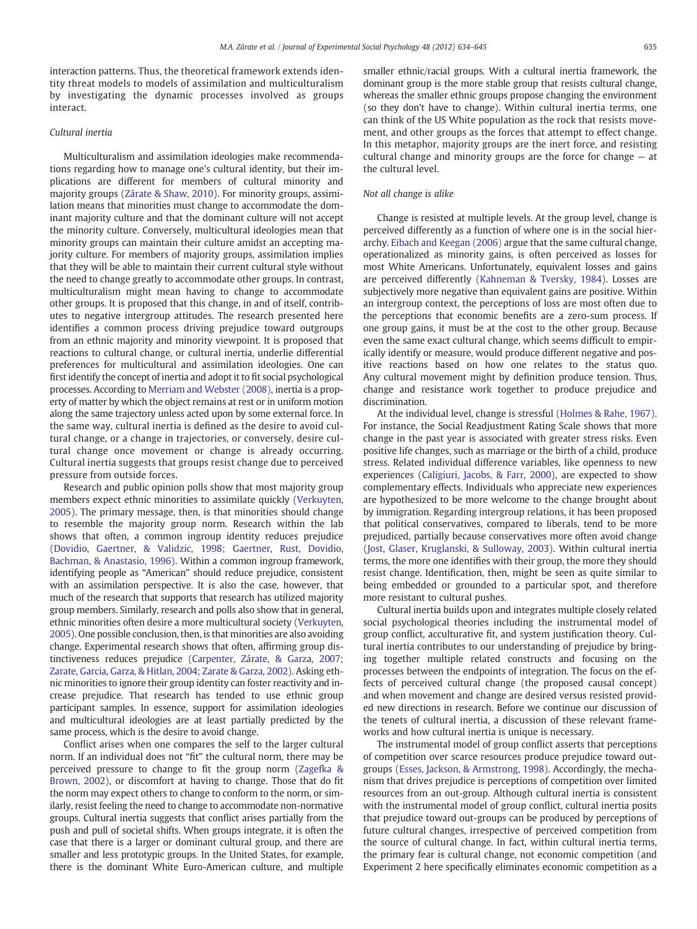interaction patterns. Thus, the theoretical framework extends identity threat models to models of assimilation and multiculturalism by investigating the dynamic processes involved as groups interact.

#### Cultural inertia

Multiculturalism and assimilation ideologies make recommendations regarding how to manage one's cultural identity, but their implications are different for members of cultural minority and majority groups ([Zárate & Shaw, 2010](#page--1-0)). For minority groups, assimilation means that minorities must change to accommodate the dominant majority culture and that the dominant culture will not accept the minority culture. Conversely, multicultural ideologies mean that minority groups can maintain their culture amidst an accepting majority culture. For members of majority groups, assimilation implies that they will be able to maintain their current cultural style without the need to change greatly to accommodate other groups. In contrast, multiculturalism might mean having to change to accommodate other groups. It is proposed that this change, in and of itself, contributes to negative intergroup attitudes. The research presented here identifies a common process driving prejudice toward outgroups from an ethnic majority and minority viewpoint. It is proposed that reactions to cultural change, or cultural inertia, underlie differential preferences for multicultural and assimilation ideologies. One can first identify the concept of inertia and adopt it to fit social psychological processes. According to [Merriam and Webster \(2008\),](#page--1-0) inertia is a property of matter by which the object remains at rest or in uniform motion along the same trajectory unless acted upon by some external force. In the same way, cultural inertia is defined as the desire to avoid cultural change, or a change in trajectories, or conversely, desire cultural change once movement or change is already occurring. Cultural inertia suggests that groups resist change due to perceived pressure from outside forces.

Research and public opinion polls show that most majority group members expect ethnic minorities to assimilate quickly ([Verkuyten,](#page--1-0) [2005\)](#page--1-0). The primary message, then, is that minorities should change to resemble the majority group norm. Research within the lab shows that often, a common ingroup identity reduces prejudice [\(Dovidio, Gaertner, & Validzic, 1998; Gaertner, Rust, Dovidio,](#page--1-0) [Bachman, & Anastasio, 1996](#page--1-0)). Within a common ingroup framework, identifying people as "American" should reduce prejudice, consistent with an assimilation perspective. It is also the case, however, that much of the research that supports that research has utilized majority group members. Similarly, research and polls also show that in general, ethnic minorities often desire a more multicultural society ([Verkuyten,](#page--1-0) [2005](#page--1-0)). One possible conclusion, then, is that minorities are also avoiding change. Experimental research shows that often, affirming group distinctiveness reduces prejudice [\(Carpenter, Zárate, & Garza, 2007;](#page--1-0) [Zarate, Garcia, Garza, & Hitlan, 2004; Zarate & Garza, 2002](#page--1-0)). Asking ethnic minorities to ignore their group identity can foster reactivity and increase prejudice. That research has tended to use ethnic group participant samples. In essence, support for assimilation ideologies and multicultural ideologies are at least partially predicted by the same process, which is the desire to avoid change.

Conflict arises when one compares the self to the larger cultural norm. If an individual does not "fit" the cultural norm, there may be perceived pressure to change to fit the group norm ([Zagefka &](#page--1-0) [Brown, 2002\)](#page--1-0), or discomfort at having to change. Those that do fit the norm may expect others to change to conform to the norm, or similarly, resist feeling the need to change to accommodate non-normative groups. Cultural inertia suggests that conflict arises partially from the push and pull of societal shifts. When groups integrate, it is often the case that there is a larger or dominant cultural group, and there are smaller and less prototypic groups. In the United States, for example, there is the dominant White Euro-American culture, and multiple

smaller ethnic/racial groups. With a cultural inertia framework, the dominant group is the more stable group that resists cultural change, whereas the smaller ethnic groups propose changing the environment (so they don't have to change). Within cultural inertia terms, one can think of the US White population as the rock that resists movement, and other groups as the forces that attempt to effect change. In this metaphor, majority groups are the inert force, and resisting cultural change and minority groups are the force for change — at the cultural level.

#### Not all change is alike

Change is resisted at multiple levels. At the group level, change is perceived differently as a function of where one is in the social hierarchy. [Eibach and Keegan \(2006\)](#page--1-0) argue that the same cultural change, operationalized as minority gains, is often perceived as losses for most White Americans. Unfortunately, equivalent losses and gains are perceived differently [\(Kahneman & Tversky, 1984](#page--1-0)). Losses are subjectively more negative than equivalent gains are positive. Within an intergroup context, the perceptions of loss are most often due to the perceptions that economic benefits are a zero-sum process. If one group gains, it must be at the cost to the other group. Because even the same exact cultural change, which seems difficult to empirically identify or measure, would produce different negative and positive reactions based on how one relates to the status quo. Any cultural movement might by definition produce tension. Thus, change and resistance work together to produce prejudice and discrimination.

At the individual level, change is stressful ([Holmes & Rahe, 1967](#page--1-0)). For instance, the Social Readjustment Rating Scale shows that more change in the past year is associated with greater stress risks. Even positive life changes, such as marriage or the birth of a child, produce stress. Related individual difference variables, like openness to new experiences ([Caligiuri, Jacobs, & Farr, 2000](#page--1-0)), are expected to show complementary effects. Individuals who appreciate new experiences are hypothesized to be more welcome to the change brought about by immigration. Regarding intergroup relations, it has been proposed that political conservatives, compared to liberals, tend to be more prejudiced, partially because conservatives more often avoid change [\(Jost, Glaser, Kruglanski, & Sulloway, 2003](#page--1-0)). Within cultural inertia terms, the more one identifies with their group, the more they should resist change. Identification, then, might be seen as quite similar to being embedded or grounded to a particular spot, and therefore more resistant to cultural pushes.

Cultural inertia builds upon and integrates multiple closely related social psychological theories including the instrumental model of group conflict, acculturative fit, and system justification theory. Cultural inertia contributes to our understanding of prejudice by bringing together multiple related constructs and focusing on the processes between the endpoints of integration. The focus on the effects of perceived cultural change (the proposed causal concept) and when movement and change are desired versus resisted provided new directions in research. Before we continue our discussion of the tenets of cultural inertia, a discussion of these relevant frameworks and how cultural inertia is unique is necessary.

The instrumental model of group conflict asserts that perceptions of competition over scarce resources produce prejudice toward outgroups [\(Esses, Jackson, & Armstrong, 1998](#page--1-0)). Accordingly, the mechanism that drives prejudice is perceptions of competition over limited resources from an out-group. Although cultural inertia is consistent with the instrumental model of group conflict, cultural inertia posits that prejudice toward out-groups can be produced by perceptions of future cultural changes, irrespective of perceived competition from the source of cultural change. In fact, within cultural inertia terms, the primary fear is cultural change, not economic competition (and Experiment 2 here specifically eliminates economic competition as a